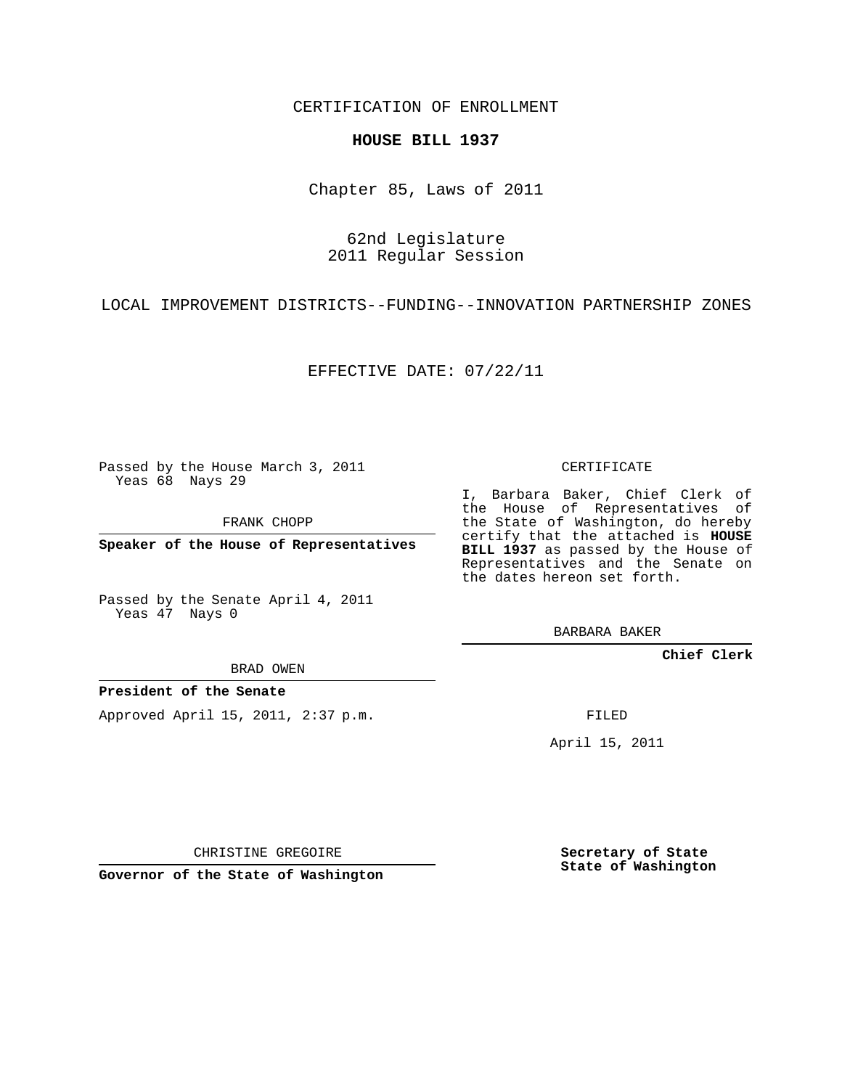CERTIFICATION OF ENROLLMENT

## **HOUSE BILL 1937**

Chapter 85, Laws of 2011

62nd Legislature 2011 Regular Session

LOCAL IMPROVEMENT DISTRICTS--FUNDING--INNOVATION PARTNERSHIP ZONES

EFFECTIVE DATE: 07/22/11

Passed by the House March 3, 2011 Yeas 68 Nays 29

FRANK CHOPP

**Speaker of the House of Representatives**

Passed by the Senate April 4, 2011 Yeas 47 Nays 0

BRAD OWEN

**President of the Senate**

Approved April 15, 2011, 2:37 p.m.

CERTIFICATE

I, Barbara Baker, Chief Clerk of the House of Representatives of the State of Washington, do hereby certify that the attached is **HOUSE BILL 1937** as passed by the House of Representatives and the Senate on the dates hereon set forth.

BARBARA BAKER

**Chief Clerk**

FILED

April 15, 2011

CHRISTINE GREGOIRE

**Governor of the State of Washington**

**Secretary of State State of Washington**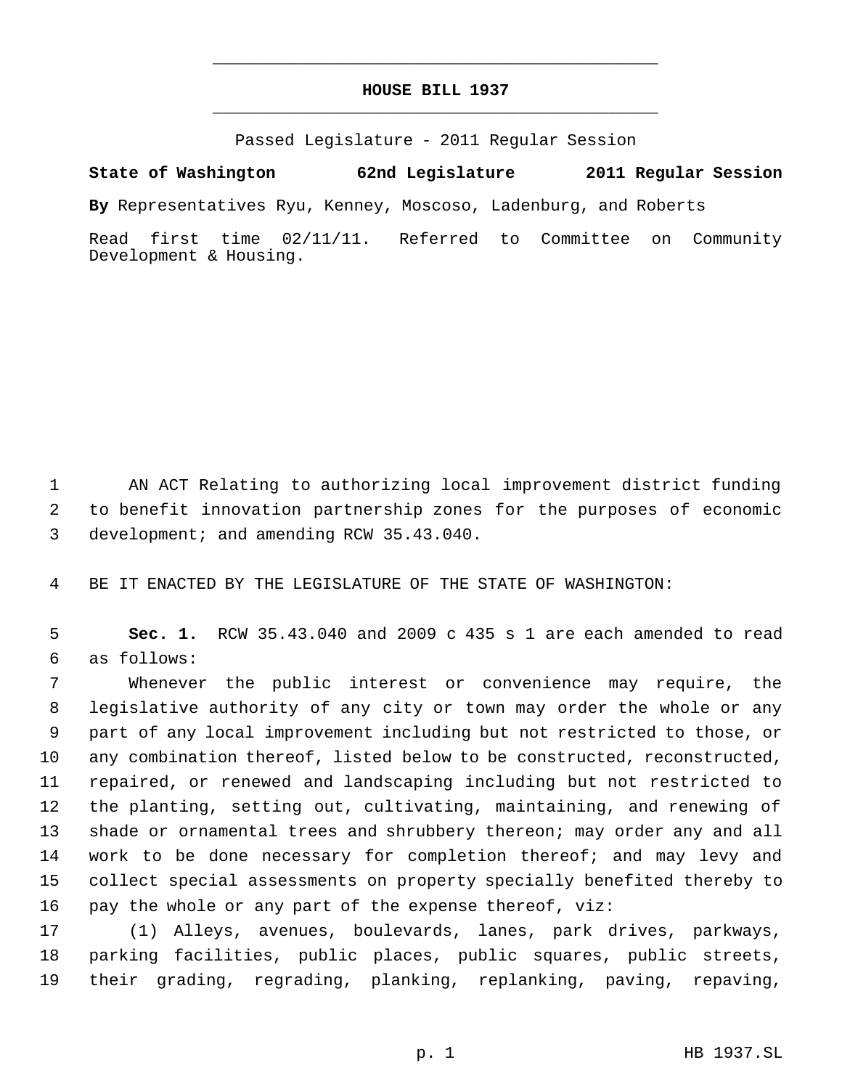## **HOUSE BILL 1937** \_\_\_\_\_\_\_\_\_\_\_\_\_\_\_\_\_\_\_\_\_\_\_\_\_\_\_\_\_\_\_\_\_\_\_\_\_\_\_\_\_\_\_\_\_

\_\_\_\_\_\_\_\_\_\_\_\_\_\_\_\_\_\_\_\_\_\_\_\_\_\_\_\_\_\_\_\_\_\_\_\_\_\_\_\_\_\_\_\_\_

Passed Legislature - 2011 Regular Session

**State of Washington 62nd Legislature 2011 Regular Session**

**By** Representatives Ryu, Kenney, Moscoso, Ladenburg, and Roberts

Read first time 02/11/11. Referred to Committee on Community Development & Housing.

 AN ACT Relating to authorizing local improvement district funding to benefit innovation partnership zones for the purposes of economic development; and amending RCW 35.43.040.

BE IT ENACTED BY THE LEGISLATURE OF THE STATE OF WASHINGTON:

 **Sec. 1.** RCW 35.43.040 and 2009 c 435 s 1 are each amended to read as follows:

 Whenever the public interest or convenience may require, the legislative authority of any city or town may order the whole or any part of any local improvement including but not restricted to those, or any combination thereof, listed below to be constructed, reconstructed, repaired, or renewed and landscaping including but not restricted to the planting, setting out, cultivating, maintaining, and renewing of shade or ornamental trees and shrubbery thereon; may order any and all 14 work to be done necessary for completion thereof; and may levy and collect special assessments on property specially benefited thereby to pay the whole or any part of the expense thereof, viz:

 (1) Alleys, avenues, boulevards, lanes, park drives, parkways, parking facilities, public places, public squares, public streets, their grading, regrading, planking, replanking, paving, repaving,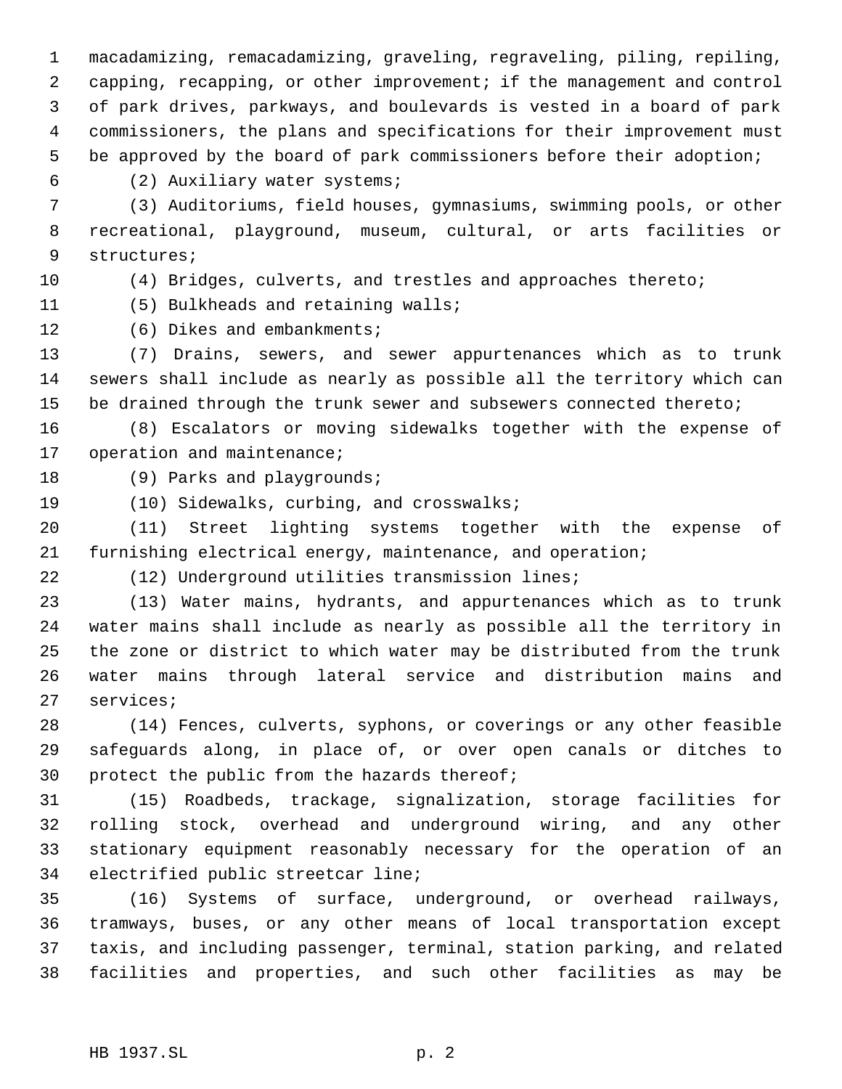macadamizing, remacadamizing, graveling, regraveling, piling, repiling, capping, recapping, or other improvement; if the management and control of park drives, parkways, and boulevards is vested in a board of park commissioners, the plans and specifications for their improvement must be approved by the board of park commissioners before their adoption;

(2) Auxiliary water systems;

 (3) Auditoriums, field houses, gymnasiums, swimming pools, or other recreational, playground, museum, cultural, or arts facilities or structures;

(4) Bridges, culverts, and trestles and approaches thereto;

(5) Bulkheads and retaining walls;

(6) Dikes and embankments;

 (7) Drains, sewers, and sewer appurtenances which as to trunk sewers shall include as nearly as possible all the territory which can be drained through the trunk sewer and subsewers connected thereto;

 (8) Escalators or moving sidewalks together with the expense of 17 operation and maintenance;

18 (9) Parks and playgrounds;

(10) Sidewalks, curbing, and crosswalks;

 (11) Street lighting systems together with the expense of furnishing electrical energy, maintenance, and operation;

(12) Underground utilities transmission lines;

 (13) Water mains, hydrants, and appurtenances which as to trunk water mains shall include as nearly as possible all the territory in the zone or district to which water may be distributed from the trunk water mains through lateral service and distribution mains and services;

 (14) Fences, culverts, syphons, or coverings or any other feasible safeguards along, in place of, or over open canals or ditches to protect the public from the hazards thereof;

 (15) Roadbeds, trackage, signalization, storage facilities for rolling stock, overhead and underground wiring, and any other stationary equipment reasonably necessary for the operation of an electrified public streetcar line;

 (16) Systems of surface, underground, or overhead railways, tramways, buses, or any other means of local transportation except taxis, and including passenger, terminal, station parking, and related facilities and properties, and such other facilities as may be